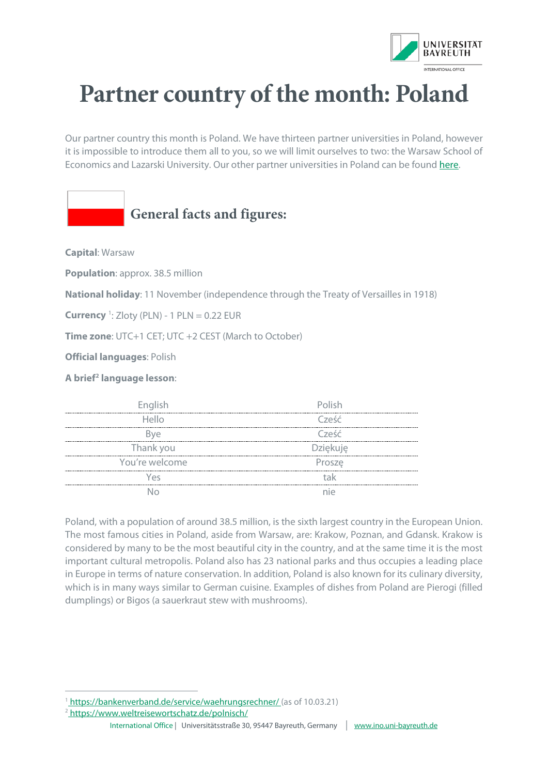

## **Partner country of the month: Poland**

Our partner country this month is Poland. We have thirteen partner universities in Poland, however it is impossible to introduce them all to you, so we will limit ourselves to two: the Warsaw School of Economics and Lazarski University. Our other partner universities in Poland can be foun[d here.](https://bayreuth.moveon4.de/publisher/1/deu) 

## **General facts and figures:**

**Capital**: Warsaw

**Population**: approx. 38.5 million

**National holiday**: 11 November (independence through the Treaty of Versailles in 1918)

**Currency** [1](#page-0-0) : Zloty (PLN) - 1 PLN = 0.22 EUR

**Time zone**: UTC+1 CET; UTC +2 CEST (March to October)

**Official languages**: Polish

**A brief[2](#page-0-1) language lesson**:

| English        | <u>nlish</u>    |
|----------------|-----------------|
| Hello          | Cześć           |
|                | Cześć           |
| Thank you      | <b>Dziekuje</b> |
| You're welcome | Prosze          |
| AC             |                 |
|                |                 |

Poland, with a population of around 38.5 million, is the sixth largest country in the European Union. The most famous cities in Poland, aside from Warsaw, are: Krakow, Poznan, and Gdansk. Krakow is considered by many to be the most beautiful city in the country, and at the same time it is the most important cultural metropolis. Poland also has 23 national parks and thus occupies a leading place in Europe in terms of nature conservation. In addition, Poland is also known for its culinary diversity, which is in many ways similar to German cuisine. Examples of dishes from Poland are Pierogi (filled dumplings) or Bigos (a sauerkraut stew with mushrooms).

<span id="page-0-1"></span><sup>2</sup> https://www.weltreisewortschatz.de/polnisch/

<span id="page-0-0"></span><sup>&</sup>lt;sup>1</sup> [https://bankenverband.de/service/waehrungsrechner/ \(](https://bankenverband.de/service/waehrungsrechner/)as of 10.03.21)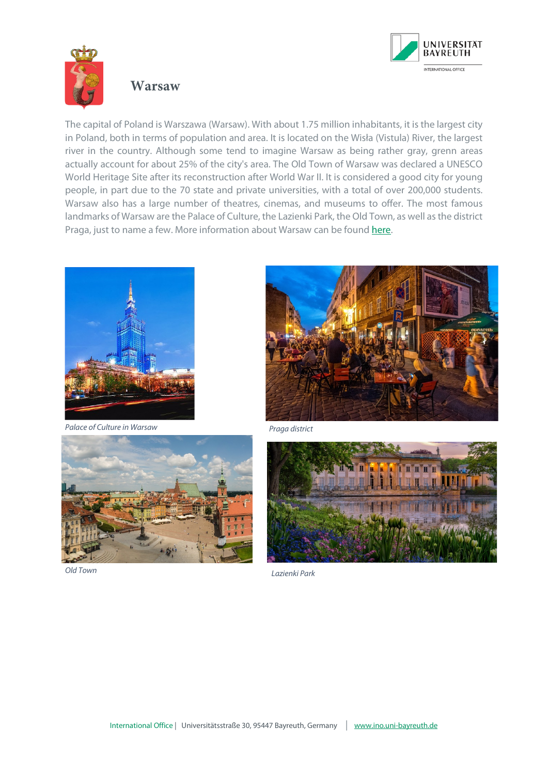

## **Warsaw**

The capital of Poland is Warszawa (Warsaw). With about 1.75 million inhabitants, it is the largest city in Poland, both in terms of population and area. It is located on the Wisła (Vistula) River, the largest river in the country. Although some tend to imagine Warsaw as being rather gray, grenn areas actually account for about 25% of the city's area. The Old Town of Warsaw was declared a UNESCO World Heritage Site after its reconstruction after World War II. It is considered a good city for young people, in part due to the 70 state and private universities, with a total of over 200,000 students. Warsaw also has a large number of theatres, cinemas, and museums to offer. The most famous landmarks of Warsaw are the Palace of Culture, the Lazienki Park, the Old Town, as well as the district Praga, just to name a few. More information about Warsaw can be found [here.](https://warsawtour.pl/de/top-10/)



*Palace of Culture in Warsaw*





*Old Town*



*Lazienki Park*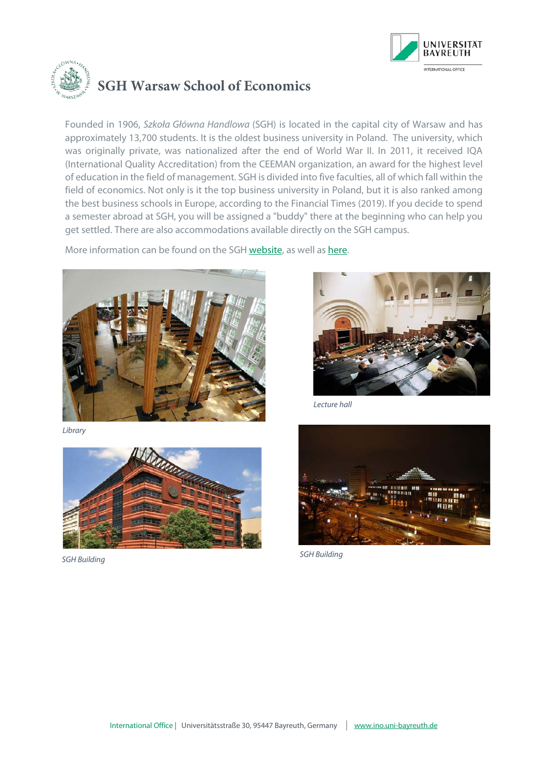



Founded in 1906, *Szkoła Główna Handlowa* (SGH) is located in the capital city of Warsaw and has approximately 13,700 students. It is the oldest business university in Poland. The university, which was originally private, was nationalized after the end of World War II. In 2011, it received IQA (International Quality Accreditation) from the CEEMAN organization, an award for the highest level of education in the field of management. SGH is divided into five faculties, all of which fall within the field of economics. Not only is it the top business university in Poland, but it is also ranked among the best business schools in Europe, according to the Financial Times (2019). If you decide to spend a semester abroad at SGH, you will be assigned a "buddy" there at the beginning who can help you get settled. There are also accommodations available directly on the SGH campus.

More information can be found on the SG[H website,](https://ssl-www.sgh.waw.pl/en/Pages/default.aspx) as well a[s here.](https://bayreuth.moveon4.de/publisher/institution/1/137/deu?relTypes=4&frmTypes=1|4|9|11|13|30&acadYears=2020|2021|2022&acadPeriods=&directions=2&defaultRelStatus=2&inst_int_settings_filter=&acad_year_display=2020|2021&acad_period_display=&document_types=9&restriction_types=1&restriction_id_filter=&inst_document_types=10&inst_restriction_types=1&keyword=&country=176&institution_external=&relation_framework=&stayopportunity_subject_area=&stayopportunity_level=&instance=1330&publisherId=1)



*Library*



*SGH Building*



*Lecture hall*



*SGH Building*